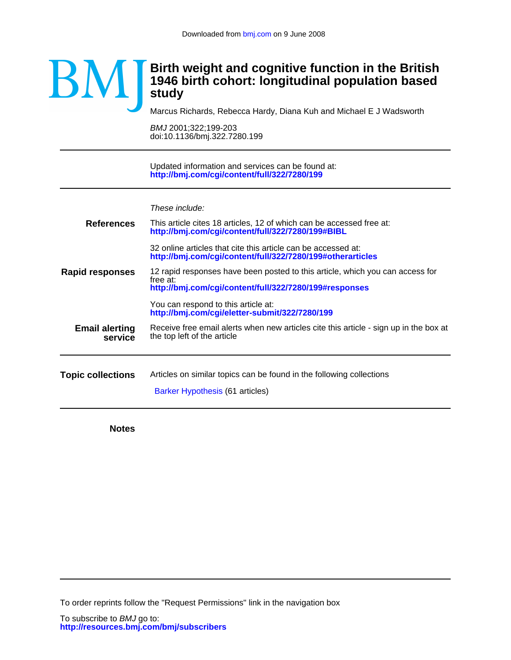

Marcus Richards, Rebecca Hardy, Diana Kuh and Michael E J Wadsworth

doi:10.1136/bmj.322.7280.199 BMJ 2001;322;199-203

**<http://bmj.com/cgi/content/full/322/7280/199>** Updated information and services can be found at:

These include:

| <b>Topic collections</b>         | Articles on similar topics can be found in the following collections<br>Barker Hypothesis (61 articles)                                             |
|----------------------------------|-----------------------------------------------------------------------------------------------------------------------------------------------------|
|                                  |                                                                                                                                                     |
| <b>Email alerting</b><br>service | Receive free email alerts when new articles cite this article - sign up in the box at<br>the top left of the article                                |
|                                  | You can respond to this article at:<br>http://bmj.com/cgi/eletter-submit/322/7280/199                                                               |
| Rapid responses                  | 12 rapid responses have been posted to this article, which you can access for<br>free at:<br>http://bmj.com/cgi/content/full/322/7280/199#responses |
|                                  | 32 online articles that cite this article can be accessed at:<br>http://bmj.com/cgi/content/full/322/7280/199#otherarticles                         |
| <b>References</b>                | This article cites 18 articles, 12 of which can be accessed free at:<br>http://bmj.com/cgi/content/full/322/7280/199#BIBL                           |
|                                  |                                                                                                                                                     |

**Notes**

To order reprints follow the "Request Permissions" link in the navigation box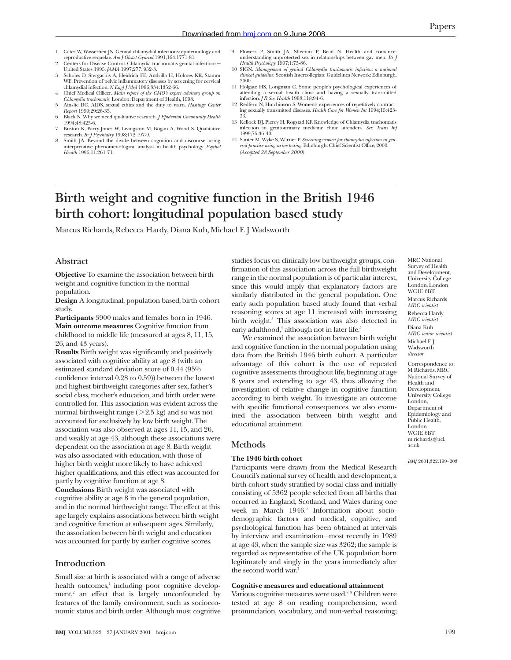- 1 Cates W, Wasserheit JN. Genital chlamydial infections: epidemiology and reproductive sequelae. *Am J Obstet Gynecol* 1991;164:1771-81.
- 2 Centers for Disease Control. Chlamydia trachomatis genital infections— United States 1995. *JAMA* 1997;277: 952-3.
- 3 Scholes D, Stergachis A, Heidrich FE, Andrilla H, Holmes KK, Stamm WE. Prevention of pelvic inflammatory diseases by screening for cervical chlamydial infection. *N Engl J Med* 1996;334:1352-66.
- 4 Chief Medical Officer. *Main report of the CMO's expert advisory group on Chlamydia trachomatis.* London: Department of Health, 1998.
- 5 Ainslie DC. AIDS, sexual ethics and the duty to warn. *Hastings Center Report* 1999;29:26-35. 6 Black N. Why we need qualitative research. *J Epidemiol Community Health*
- 1994;48:425-6. 7 Buston K, Parry-Jones W, Livingston M, Bogan A, Wood S. Qualitative
- research. *Br J Psychiatry* 1998;172:197-9. 8 Smith JA. Beyond the divide between cognition and discourse: using
- interpretative phenomenological analysis in health psychology. *Psychol Health* 1996;11:261-71.
- 9 Flowers P, Smith JA, Sheeran P, Beail N. Health and romance: understanding unprotected sex in relationships between gay men. *Br J Health Psychology* 1997;1:73-86.
- 10 SIGN. *Management of genital Chlamydia trachomatis infection: a national clinical guideline.* Scottish Intercollegiate Guidelines Network: Edinburgh,
- 2000. 11 Holgate HS, Longman C. Some people's psychological experiences of attending a sexual health clinic and having a sexually transmitted infection. *J R Soc Health* 1998;118:94-6.
- 12 Redfern N, Hutchinson S. Women's experiences of repetitively contract-ing sexually transmitted diseases. *Health Care for Women Int* 1994;15:423- 33.
- 13 Kellock DJ, Piercy H, Rogstad KF. Knowledge of Chlamydia trachomatis infection in genitourinary medicine clinic attenders. *Sex Trans Inf* 1999;75:36-40.
- 14 Santer M, Wyke S, Warner P. *Screening women for chlamydia infection in gen-eral practice using urine testing.* Edinburgh: Chief Scientist Office, 2000. *(Accepted 28 September 2000)*

# **Birth weight and cognitive function in the British 1946 birth cohort: longitudinal population based study**

Marcus Richards, Rebecca Hardy, Diana Kuh, Michael E J Wadsworth

## **Abstract**

**Objective** To examine the association between birth weight and cognitive function in the normal population.

**Design** A longitudinal, population based, birth cohort study.

**Participants** 3900 males and females born in 1946. **Main outcome measures** Cognitive function from childhood to middle life (measured at ages 8, 11, 15, 26, and 43 years).

**Results** Birth weight was significantly and positively associated with cognitive ability at age 8 (with an estimated standard deviation score of 0.44 (95% confidence interval 0.28 to 0.59)) between the lowest and highest birthweight categories after sex, father's social class, mother's education, and birth order were controlled for. This association was evident across the normal birthweight range  $($  > 2.5 kg) and so was not accounted for exclusively by low birth weight. The association was also observed at ages 11, 15, and 26, and weakly at age 43, although these associations were dependent on the association at age 8. Birth weight was also associated with education, with those of higher birth weight more likely to have achieved higher qualifications, and this effect was accounted for partly by cognitive function at age 8. **Conclusions** Birth weight was associated with cognitive ability at age 8 in the general population, and in the normal birthweight range. The effect at this age largely explains associations between birth weight and cognitive function at subsequent ages. Similarly, the association between birth weight and education was accounted for partly by earlier cognitive scores.

## **Introduction**

Small size at birth is associated with a range of adverse health outcomes,<sup>1</sup> including poor cognitive development, $2$  an effect that is largely unconfounded by features of the family environment, such as socioeconomic status and birth order. Although most cognitive

studies focus on clinically low birthweight groups, confirmation of this association across the full birthweight range in the normal population is of particular interest, since this would imply that explanatory factors are similarly distributed in the general population. One early such population based study found that verbal reasoning scores at age 11 increased with increasing birth weight.<sup>3</sup> This association was also detected in early adulthood,<sup>4</sup> although not in later life.<sup>5</sup>

We examined the association between birth weight and cognitive function in the normal population using data from the British 1946 birth cohort. A particular advantage of this cohort is the use of repeated cognitive assessments throughout life, beginning at age 8 years and extending to age 43, thus allowing the investigation of relative change in cognitive function according to birth weight. To investigate an outcome with specific functional consequences, we also examined the association between birth weight and educational attainment.

## **Methods**

#### **The 1946 birth cohort**

Participants were drawn from the Medical Research Council's national survey of health and development, a birth cohort study stratified by social class and initially consisting of 5362 people selected from all births that occurred in England, Scotland, and Wales during one week in March 1946.<sup>6</sup> Information about sociodemographic factors and medical, cognitive, and psychological function has been obtained at intervals by interview and examination—most recently in 1989 at age 43, when the sample size was 3262; the sample is regarded as representative of the UK population born legitimately and singly in the years immediately after the second world war.7

#### **Cognitive measures and educational attainment**

Various cognitive measures were used.<sup>8 9</sup> Children were tested at age 8 on reading comprehension, word pronunciation, vocabulary, and non-verbal reasoning;

MRC National Survey of Health and Development, University College London, London WC1E 6BT Marcus Richards *MRC scientist* Rebecca Hardy *MRC scientist* Diana Kuh *MRC senior scientist* Michael E J Wadsworth *director*

Correspondence to: M Richards, MRC National Survey of Health and Development, University College London, Department of Epidemiology and Public Health, London WC1E 6BT m.richards@ucl. ac.uk

*BMJ* 2001;322:199–203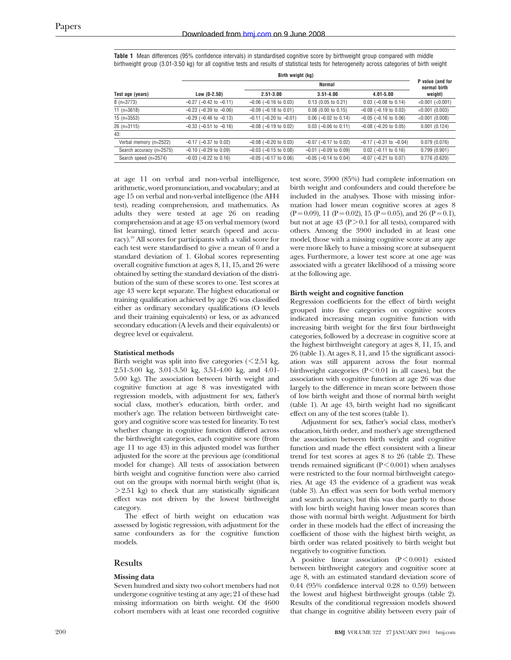| <b>Table 1</b> Mean differences (95% confidence intervals) in standardised cognitive score by birthweight group compared with middle          |
|-----------------------------------------------------------------------------------------------------------------------------------------------|
| birthweight group (3.01-3.50 kg) for all cognitive tests and results of statistical tests for heterogeneity across categories of birth weight |

|                          | Birth weight (kg)              |                                |                            |                                | P value (and for<br>normal birth |
|--------------------------|--------------------------------|--------------------------------|----------------------------|--------------------------------|----------------------------------|
|                          |                                |                                |                            |                                |                                  |
| Test age (years)         | $Low (0-2.50)$                 | $2.51 - 3.00$                  | $3.51 - 4.00$              | $4.01 - 5.00$                  | weight)                          |
| $8(n=3773)$              | $-0.27$ ( $-0.42$ to $-0.11$ ) | $-0.06$ ( $-0.16$ to 0.03)     | $0.13$ (0.05 to 0.21)      | $0.03$ (-0.08 to 0.14)         | $<0.001$ $(<0.001$ )             |
| 11 $(n=3618)$            | $-0.23$ ( $-0.39$ to $-0.06$ ) | $-0.09$ ( $-0.18$ to 0.01)     | $0.08$ (0.00 to 0.15)      | $-0.08$ ( $-0.19$ to 0.03)     | $<0.001$ (0.003)                 |
| $15$ (n=3553)            | $-0.29$ ( $-0.46$ to $-0.13$ ) | $-0.11$ ( $-0.20$ to $-0.01$ ) | $0.06$ (-0.02 to 0.14)     | $-0.05$ ( $-0.16$ to 0.06)     | $<0.001$ (0.008)                 |
| $26$ (n= $3115$ )        | $-0.33$ ( $-0.51$ to $-0.16$ ) | $-0.08$ ( $-0.19$ to 0.02)     | $0.03$ (-0.06 to 0.11)     | $-0.08$ ( $-0.20$ to 0.05)     | 0.001(0.124)                     |
| 43:                      |                                |                                |                            |                                |                                  |
| Verbal memory (n=2522)   | $-0.17$ ( $-0.37$ to 0.02)     | $-0.08$ ( $-0.20$ to 0.03)     | $-0.07$ ( $-0.17$ to 0.02) | $-0.17$ ( $-0.31$ to $-0.04$ ) | 0.079(0.076)                     |
| Search accuracy (n=2575) | $-0.10$ ( $-0.29$ to 0.09)     | $-0.03$ ( $-0.15$ to 0.08)     | $-0.01$ ( $-0.09$ to 0.09) | $0.02$ (-0.11 to 0.16)         | 0.799(0.901)                     |
| Search speed (n=2574)    | $-0.03$ ( $-0.22$ to 0.16)     | $-0.05$ ( $-0.17$ to 0.06)     | $-0.05$ ( $-0.14$ to 0.04) | $-0.07$ ( $-0.21$ to 0.07)     | 0.776(0.620)                     |

at age 11 on verbal and non-verbal intelligence, arithmetic, word pronunciation, and vocabulary; and at age 15 on verbal and non-verbal intelligence (the AH4 test), reading comprehension, and mathematics. As adults they were tested at age 26 on reading comprehension and at age 43 on verbal memory (word list learning), timed letter search (speed and accuracy).10 All scores for participants with a valid score for each test were standardised to give a mean of 0 and a standard deviation of 1. Global scores representing overall cognitive function at ages 8, 11, 15, and 26 were obtained by setting the standard deviation of the distribution of the sum of these scores to one. Test scores at age 43 were kept separate. The highest educational or training qualification achieved by age 26 was classified either as ordinary secondary qualifications (O levels and their training equivalents) or less, or as advanced secondary education (A levels and their equivalents) or degree level or equivalent.

#### **Statistical methods**

Birth weight was split into five categories  $\zeta$  < 2.51 kg, 2.51-3.00 kg, 3.01-3.50 kg, 3.51-4.00 kg, and 4.01- 5.00 kg). The association between birth weight and cognitive function at age 8 was investigated with regression models, with adjustment for sex, father's social class, mother's education, birth order, and mother's age. The relation between birthweight category and cognitive score was tested for linearity. To test whether change in cognitive function differed across the birthweight categories, each cognitive score (from age 11 to age 43) in this adjusted model was further adjusted for the score at the previous age (conditional model for change). All tests of association between birth weight and cognitive function were also carried out on the groups with normal birth weight (that is,  $> 2.51$  kg) to check that any statistically significant effect was not driven by the lowest birthweight category.

The effect of birth weight on education was assessed by logistic regression, with adjustment for the same confounders as for the cognitive function models.

## **Results**

#### **Missing data**

Seven hundred and sixty two cohort members had not undergone cognitive testing at any age; 21 of these had missing information on birth weight. Of the 4600 cohort members with at least one recorded cognitive

test score, 3900 (85%) had complete information on birth weight and confounders and could therefore be included in the analyses. Those with missing information had lower mean cognitive scores at ages 8  $(P = 0.09)$ , 11  $(P = 0.02)$ , 15  $(P = 0.05)$ , and 26  $(P = 0.1)$ , but not at age 43 ( $P > 0.1$  for all tests), compared with others. Among the 3900 included in at least one model, those with a missing cognitive score at any age were more likely to have a missing score at subsequent ages. Furthermore, a lower test score at one age was associated with a greater likelihood of a missing score at the following age.

#### **Birth weight and cognitive function**

Regression coefficients for the effect of birth weight grouped into five categories on cognitive scores indicated increasing mean cognitive function with increasing birth weight for the first four birthweight categories, followed by a decrease in cognitive score at the highest birthweight category at ages 8, 11, 15, and 26 (table 1). At ages 8, 11, and 15 the significant association was still apparent across the four normal birthweight categories ( $P < 0.01$  in all cases), but the association with cognitive function at age 26 was due largely to the difference in mean score between those of low birth weight and those of normal birth weight (table 1). At age 43, birth weight had no significant effect on any of the test scores (table 1).

Adjustment for sex, father's social class, mother's education, birth order, and mother's age strengthened the association between birth weight and cognitive function and made the effect consistent with a linear trend for test scores at ages 8 to 26 (table 2). These trends remained significant  $(P < 0.001)$  when analyses were restricted to the four normal birthweight categories. At age 43 the evidence of a gradient was weak (table 3). An effect was seen for both verbal memory and search accuracy, but this was due partly to those with low birth weight having lower mean scores than those with normal birth weight. Adjustment for birth order in these models had the effect of increasing the coefficient of those with the highest birth weight, as birth order was related positively to birth weight but negatively to cognitive function.

A positive linear association (P < 0.001) existed between birthweight category and cognitive score at age 8, with an estimated standard deviation score of 0.44 (95% confidence interval 0.28 to 0.59) between the lowest and highest birthweight groups (table 2). Results of the conditional regression models showed that change in cognitive ability between every pair of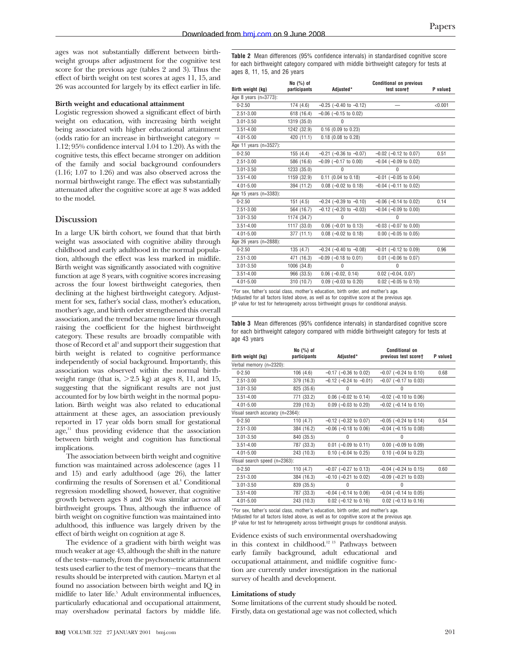ages was not substantially different between birthweight groups after adjustment for the cognitive test score for the previous age (tables 2 and 3). Thus the effect of birth weight on test scores at ages 11, 15, and 26 was accounted for largely by its effect earlier in life.

### **Birth weight and educational attainment**

Logistic regression showed a significant effect of birth weight on education, with increasing birth weight being associated with higher educational attainment (odds ratio for an increase in birthweight category = 1.12; 95% confidence interval 1.04 to 1.20). As with the cognitive tests, this effect became stronger on addition of the family and social background confounders (1.16; 1.07 to 1.26) and was also observed across the normal birthweight range. The effect was substantially attenuated after the cognitive score at age 8 was added to the model.

## **Discussion**

In a large UK birth cohort, we found that that birth weight was associated with cognitive ability through childhood and early adulthood in the normal population, although the effect was less marked in midlife. Birth weight was significantly associated with cognitive function at age 8 years, with cognitive scores increasing across the four lowest birthweight categories, then declining at the highest birthweight category. Adjustment for sex, father's social class, mother's education, mother's age, and birth order strengthened this overall association, and the trend became more linear through raising the coefficient for the highest birthweight category. These results are broadly compatible with those of Record et al<sup>3</sup> and support their suggestion that birth weight is related to cognitive performance independently of social background. Importantly, this association was observed within the normal birthweight range (that is,  $> 2.5$  kg) at ages 8, 11, and 15, suggesting that the significant results are not just accounted for by low birth weight in the normal population. Birth weight was also related to educational attainment at these ages, an association previously reported in 17 year olds born small for gestational  $age<sup>11</sup>$ , thus providing evidence that the association between birth weight and cognition has functional implications.

The association between birth weight and cognitive function was maintained across adolescence (ages 11 and 15) and early adulthood (age 26), the latter confirming the results of Sorensen et al.<sup>4</sup> Conditional regression modelling showed, however, that cognitive growth between ages 8 and 26 was similar across all birthweight groups. Thus, although the influence of birth weight on cognitive function was maintained into adulthood, this influence was largely driven by the effect of birth weight on cognition at age 8.

The evidence of a gradient with birth weight was much weaker at age 43, although the shift in the nature of the tests—namely, from the psychometric attainment tests used earlier to the test of memory—means that the results should be interpreted with caution. Martyn et al found no association between birth weight and IQ in midlife to later life.<sup>5</sup> Adult environmental influences, particularly educational and occupational attainment, may overshadow perinatal factors by middle life.

**Table 2** Mean differences (95% confidence intervals) in standardised cognitive score for each birthweight category compared with middle birthweight category for tests at ages 8, 11, 15, and 26 years

|                        | No (%) of    |                                | <b>Conditional on previous</b> |          |
|------------------------|--------------|--------------------------------|--------------------------------|----------|
| Birth weight (kg)      | participants | Adjusted*                      | test scoret                    | P value# |
| Age 8 years (n=3773):  |              |                                |                                |          |
| $0 - 2.50$             | 174(4.6)     | $-0.25$ ( $-0.40$ to $-0.12$ ) |                                | < 0.001  |
| $2.51 - 3.00$          | 618 (16.4)   | $-0.06$ ( $-0.15$ to 0.02)     |                                |          |
| $3.01 - 3.50$          | 1319 (35.0)  | 0                              |                                |          |
| $3.51 - 4.00$          | 1242 (32.9)  | $0.16$ (0.09 to 0.23)          |                                |          |
| $4.01 - 5.00$          | 420 (11.1)   | 0.18 (0.08 to 0.28)            |                                |          |
| Age 11 years (n=3527): |              |                                |                                |          |
| $0 - 2.50$             | 155 (4.4)    | $-0.21$ ( $-0.36$ to $-0.07$ ) | $-0.02$ ( $-0.12$ to 0.07)     | 0.51     |
| $2.51 - 3.00$          | 586 (16.6)   | $-0.09$ ( $-0.17$ to 0.00)     | $-0.04$ ( $-0.09$ to 0.02)     |          |
| $3.01 - 3.50$          | 1233 (35.0)  | $\mathbf{0}$                   | 0                              |          |
| $3.51 - 4.00$          | 1159 (32.9)  | $0.11$ (0.04 to 0.18)          | $-0.01$ ( $-0.05$ to 0.04)     |          |
| $4.01 - 5.00$          | 394 (11.2)   | $0.08$ (-0.02 to 0.18)         | $-0.04$ ( $-0.11$ to 0.02)     |          |
| Age 15 years (n=3383): |              |                                |                                |          |
| $0 - 2.50$             | 151(4.5)     | $-0.24$ ( $-0.39$ to $-0.10$ ) | $-0.06$ ( $-0.14$ to 0.02)     | 0.14     |
| $2.51 - 3.00$          | 564 (16.7)   | $-0.12$ ( $-0.20$ to $-0.03$ ) | $-0.04$ ( $-0.09$ to 0.00)     |          |
| $3.01 - 3.50$          | 1174 (34.7)  | $\mathbf{0}$                   | $\theta$                       |          |
| $3.51 - 4.00$          | 1117 (33.0)  | $0.06$ (-0.01 to 0.13)         | $-0.03$ ( $-0.07$ to 0.00)     |          |
| $4.01 - 5.00$          | 377(11.1)    | $0.08$ (-0.02 to 0.18)         | $0.00$ (-0.05 to 0.05)         |          |
| Age 26 years (n=2888): |              |                                |                                |          |
| $0 - 2.50$             | 135(4.7)     | $-0.24$ ( $-0.40$ to $-0.08$ ) | $-0.01$ ( $-0.12$ to 0.09)     | 0.96     |
| $2.51 - 3.00$          | 471 (16.3)   | $-0.09$ ( $-0.18$ to 0.01)     | $0.01$ (-0.06 to 0.07)         |          |
| $3.01 - 3.50$          | 1006 (34.8)  | $\mathbf{0}$                   | $\theta$                       |          |
| $3.51 - 4.00$          | 966 (33.5)   | $0.06$ (-0.02, 0.14)           | $0.02$ (-0.04, 0.07)           |          |
| $4.01 - 5.00$          | 310 (10.7)   | $0.09$ (-0.03 to 0.20)         | $0.02$ (-0.05 to 0.10)         |          |

\*For sex, father's social class, mother's education, birth order, and mother's age. †Adjusted for all factors listed above, as well as for cognitive score at the previous age. ‡P value for test for heterogeneity across birthweight groups for conditional analysis.

**Table 3** Mean differences (95% confidence intervals) in standardised cognitive score for each birthweight category compared with middle birthweight category for tests at age 43 years

| Birth weight (kg)                | $No$ $(*)$ of<br>participants | Adjusted*                      | <b>Conditional on</b><br>previous test score† | P value‡ |
|----------------------------------|-------------------------------|--------------------------------|-----------------------------------------------|----------|
|                                  |                               |                                |                                               |          |
| Verbal memory (n=2320):          |                               |                                |                                               |          |
| $0 - 2.50$                       | 106(4.6)                      | $-0.17$ ( $-0.36$ to 0.02)     | $-0.07$ ( $-0.24$ to 0.10)                    | 0.68     |
| $2.51 - 3.00$                    | 379 (16.3)                    | $-0.12$ ( $-0.24$ to $-0.01$ ) | $-0.07$ ( $-0.17$ to 0.03)                    |          |
| $3.01 - 3.50$                    | 825 (35.6)                    | 0                              | $\theta$                                      |          |
| $3.51 - 4.00$                    | 771 (33.2)                    | $0.06$ (-0.02 to 0.14)         | $-0.02$ ( $-0.10$ to 0.06)                    |          |
| $4.01 - 5.00$                    | 239 (10.3)                    | $0.09$ (-0.03 to 0.20)         | $-0.02$ ( $-0.14$ to 0.10)                    |          |
| Visual search accuracy (n=2364): |                               |                                |                                               |          |
| $0 - 2.50$                       | 110 $(4.7)$                   | $-0.12$ ( $-0.32$ to 0.07)     | $-0.05$ ( $-0.24$ to 0.14)                    | 0.54     |
| $2.51 - 3.00$                    | 384 (16.2)                    | $-0.06$ ( $-0.18$ to 0.06)     | $-0.04$ ( $-0.15$ to 0.08)                    |          |
| $3.01 - 3.50$                    | 840 (35.5)                    | 0                              | $\Omega$                                      |          |
| $3.51 - 4.00$                    | 787 (33.3)                    | $0.01$ (-0.09 to 0.11)         | $0.00$ (-0.09 to 0.09)                        |          |
| $4.01 - 5.00$                    | 243 (10.3)                    | $0.10$ (-0.04 to 0.25)         | $0.10$ (-0.04 to 0.23)                        |          |
| Visual search speed (n=2363):    |                               |                                |                                               |          |
| $0 - 2.50$                       | 110 $(4.7)$                   | $-0.07$ ( $-0.27$ to 0.13)     | $-0.04$ ( $-0.24$ to 0.15)                    | 0.60     |
| $2.51 - 3.00$                    | 384 (16.3)                    | $-0.10$ ( $-0.21$ to 0.02)     | $-0.09$ ( $-0.21$ to 0.03)                    |          |
| $3.01 - 3.50$                    | 839 (35.5)                    | $\Omega$                       | $\Omega$                                      |          |
| $3.51 - 4.00$                    | 787 (33.3)                    | $-0.04$ ( $-0.14$ to 0.06)     | $-0.04$ ( $-0.14$ to 0.05)                    |          |
| $4.01 - 5.00$                    | 243 (10.3)                    | $0.02$ (-0.12 to 0.16)         | $0.02$ (-0.13 to 0.16)                        |          |
|                                  |                               |                                |                                               |          |

\*For sex, father's social class, mother's education, birth order, and mother's age. †Adjusted for all factors listed above, as well as for cognitive score at the previous age. ‡P value for test for heterogeneity across birthweight groups for conditional analysis.

Evidence exists of such environmental overshadowing in this context in childhood.12 13 Pathways between early family background, adult educational and occupational attainment, and midlife cognitive function are currently under investigation in the national survey of health and development.

#### **Limitations of study**

Some limitations of the current study should be noted. Firstly, data on gestational age was not collected, which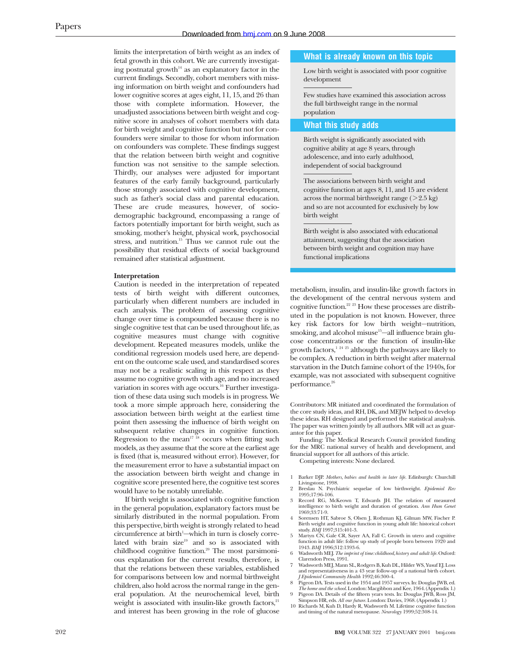limits the interpretation of birth weight as an index of fetal growth in this cohort. We are currently investigating postnatal growth $14$  as an explanatory factor in the current findings. Secondly, cohort members with missing information on birth weight and confounders had lower cognitive scores at ages eight, 11, 15, and 26 than those with complete information. However, the unadjusted associations between birth weight and cognitive score in analyses of cohort members with data for birth weight and cognitive function but not for confounders were similar to those for whom information on confounders was complete. These findings suggest that the relation between birth weight and cognitive function was not sensitive to the sample selection. Thirdly, our analyses were adjusted for important features of the early family background, particularly those strongly associated with cognitive development, such as father's social class and parental education. These are crude measures, however, of sociodemographic background, encompassing a range of factors potentially important for birth weight, such as smoking, mother's height, physical work, psychosocial stress, and nutrition.<sup>15</sup> Thus we cannot rule out the possibility that residual effects of social background remained after statistical adjustment.

#### **Interpretation**

Caution is needed in the interpretation of repeated tests of birth weight with different outcomes, particularly when different numbers are included in each analysis. The problem of assessing cognitive change over time is compounded because there is no single cognitive test that can be used throughout life, as cognitive measures must change with cognitive development. Repeated measures models, unlike the conditional regression models used here, are dependent on the outcome scale used, and standardised scores may not be a realistic scaling in this respect as they assume no cognitive growth with age, and no increased variation in scores with age occurs.<sup>16</sup> Further investigation of these data using such models is in progress. We took a more simple approach here, considering the association between birth weight at the earliest time point then assessing the influence of birth weight on subsequent relative changes in cognitive function. Regression to the mean<sup>17 18</sup> occurs when fitting such models, as they assume that the score at the earliest age is fixed (that is, measured without error). However, for the measurement error to have a substantial impact on the association between birth weight and change in cognitive score presented here, the cognitive test scores would have to be notably unreliable.

If birth weight is associated with cognitive function in the general population, explanatory factors must be similarly distributed in the normal population. From this perspective, birth weight is strongly related to head circumference at birth<sup>1</sup>—which in turn is closely correlated with brain size<sup>19</sup> and so is associated with childhood cognitive function.<sup>20</sup> The most parsimonious explanation for the current results, therefore, is that the relations between these variables, established for comparisons between low and normal birthweight children, also hold across the normal range in the general population. At the neurochemical level, birth weight is associated with insulin-like growth factors, $21$ and interest has been growing in the role of glucose

#### **What is already known on this topic**

Low birth weight is associated with poor cognitive development

Few studies have examined this association across the full birthweight range in the normal population

#### **What this study adds**

Birth weight is significantly associated with cognitive ability at age 8 years, through adolescence, and into early adulthood, independent of social background

The associations between birth weight and cognitive function at ages 8, 11, and 15 are evident across the normal birthweight range ( $>2.5$  kg) and so are not accounted for exclusively by low birth weight

Birth weight is also associated with educational attainment, suggesting that the association between birth weight and cognition may have functional implications

metabolism, insulin, and insulin-like growth factors in the development of the central nervous system and cognitive function.22 23 How these processes are distributed in the population is not known. However, three key risk factors for low birth weight—nutrition, smoking, and alcohol misuse $15$ —all influence brain glucose concentrations or the function of insulin-like growth factors,<sup>1 24 25</sup> although the pathways are likely to be complex. A reduction in birth weight after maternal starvation in the Dutch famine cohort of the 1940s, for example, was not associated with subsequent cognitive performance.<sup>26</sup>

Contributors: MR initiated and coordinated the formulation of the core study ideas, and RH, DK, and MEJW helped to develop these ideas. RH designed and performed the statistical analysis. The paper was written jointly by all authors. MR will act as guarantor for this paper.

Funding: The Medical Research Council provided funding for the MRC national survey of health and development, and financial support for all authors of this article.

Competing interests: None declared.

- 1 Barker DJP. *Mothers, babies and health in later life.* Edinburgh: Churchill Livingstone, 1998.
- 2 Breslau N. Psychiatric sequelae of low birthweight. *Epidemiol Rev* 1995;17:96-106.
- 3 Record RG, McKeown T, Edwards JH. The relation of measured intelligence to birth weight and duration of gestation. *Ann Hum Genet* 1969;33:71-9.
- 4 Sorensen HT, Sabroe S, Olsen J, Rothman KJ, Gilman MW, Fischer P. Birth weight and cognitive function in young adult life: historical cohort study. *BMJ* 1997;315:401-3.
- 5 Martyn CN, Gale CR, Sayer AA, Fall C. Growth in utero and cognitive function in adult life: follow up study of people born between 1920 and 1943. *BMJ* 1996;312:1393-6.
- 6 Wadsworth MEJ. *The imprint of time: childhood, history and adult life*. Oxford: Clarendon Press, 1991.
- 7 Wadsworth MEJ, Mann SL, Rodgers B, Kuh DL, Hilder WS, Yusuf EJ. Loss and representativeness in a 43 year follow-up of a national birth cohort. *J Epidemiol Community Health* 1992;46:300-4.
- Pigeon DA. Tests used in the 1954 and 1957 surveys. In: Douglas JWB, ed. *The home and the school*. London: Macgibbon and Kee, 1964. (Appendix 1.)
- 9 Pigeon DA. Details of the fifteen years tests. In: Douglas JWB, Ross JM, Simpson HR, eds. *All our future*. London: Davies, 1968. (Appendix 1.)
- 10 Richards M, Kuh D, Hardy R, Wadsworth M. Lifetime cognitive function and timing of the natural menopause. *Neurology* 1999;52:308-14.